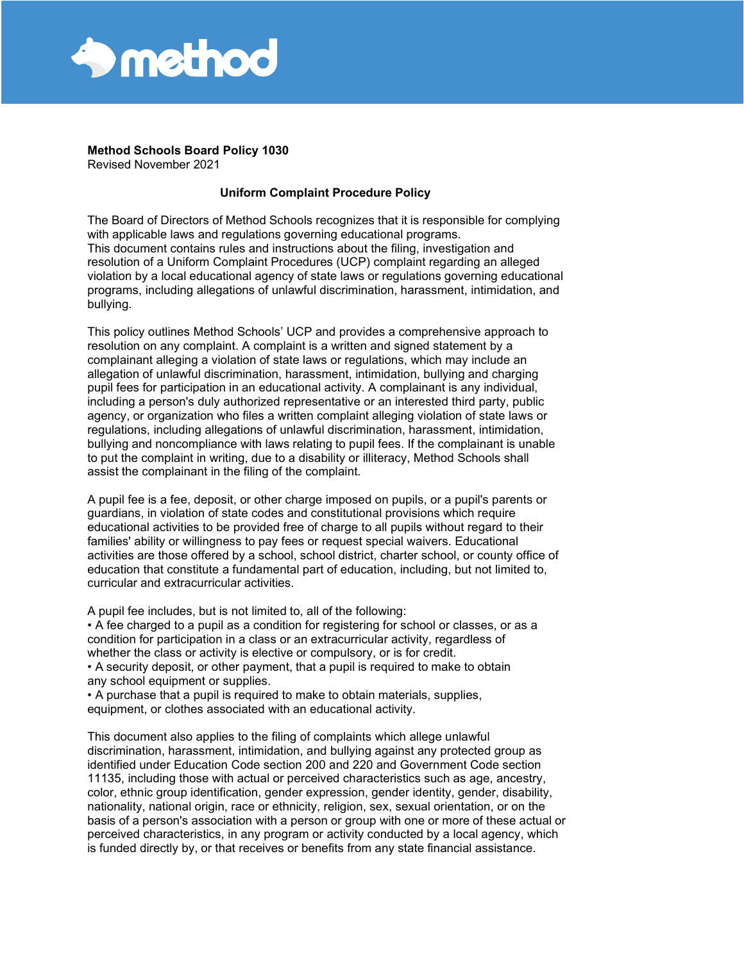

**Method Schools Board Policy 1030**

Revised November 2021

# **Uniform Complaint Procedure Policy**

The Board of Directors of Method Schools recognizes that it is responsible for complying with applicable laws and regulations governing educational programs. This document contains rules and instructions about the filing, investigation and resolution of a Uniform Complaint Procedures (UCP) complaint regarding an alleged violation by a local educational agency of state laws or regulations governing educational programs, including allegations of unlawful discrimination, harassment, intimidation, and bullying.

This policy outlines Method Schools' UCP and provides a comprehensive approach to resolution on any complaint. A complaint is a written and signed statement by a complainant alleging a violation of state laws or regulations, which may include an allegation of unlawful discrimination, harassment, intimidation, bullying and charging pupil fees for participation in an educational activity. A complainant is any individual, including a person's duly authorized representative or an interested third party, public agency, or organization who files a written complaint alleging violation of state laws or regulations, including allegations of unlawful discrimination, harassment, intimidation, bullying and noncompliance with laws relating to pupil fees. If the complainant is unable to put the complaint in writing, due to a disability or illiteracy, Method Schools shall assist the complainant in the filing of the complaint.

A pupil fee is a fee, deposit, or other charge imposed on pupils, or a pupil's parents or guardians, in violation of state codes and constitutional provisions which require educational activities to be provided free of charge to all pupils without regard to their families' ability or willingness to pay fees or request special waivers. Educational activities are those offered by a school, school district, charter school, or county office of education that constitute a fundamental part of education, including, but not limited to, curricular and extracurricular activities.

A pupil fee includes, but is not limited to, all of the following:

• A fee charged to a pupil as a condition for registering for school or classes, or as a condition for participation in a class or an extracurricular activity, regardless of whether the class or activity is elective or compulsory, or is for credit.

• A security deposit, or other payment, that a pupil is required to make to obtain any school equipment or supplies.

• A purchase that a pupil is required to make to obtain materials, supplies, equipment, or clothes associated with an educational activity.

This document also applies to the filing of complaints which allege unlawful discrimination, harassment, intimidation, and bullying against any protected group as identified under Education Code section 200 and 220 and Government Code section 11135, including those with actual or perceived characteristics such as age, ancestry, color, ethnic group identification, gender expression, gender identity, gender, disability, nationality, national origin, race or ethnicity, religion, sex, sexual orientation, or on the basis of a person's association with a person or group with one or more of these actual or perceived characteristics, in any program or activity conducted by a local agency, which is funded directly by, or that receives or benefits from any state financial assistance.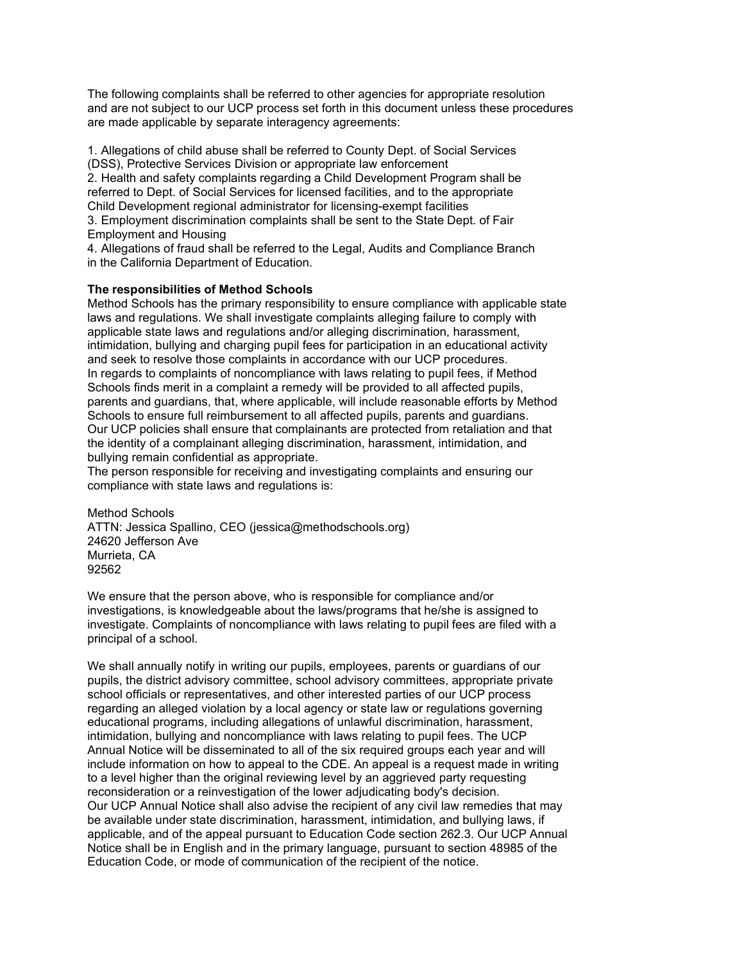The following complaints shall be referred to other agencies for appropriate resolution and are not subject to our UCP process set forth in this document unless these procedures are made applicable by separate interagency agreements:

1. Allegations of child abuse shall be referred to County Dept. of Social Services (DSS), Protective Services Division or appropriate law enforcement 2. Health and safety complaints regarding a Child Development Program shall be referred to Dept. of Social Services for licensed facilities, and to the appropriate Child Development regional administrator for licensing-exempt facilities 3. Employment discrimination complaints shall be sent to the State Dept. of Fair

Employment and Housing

4. Allegations of fraud shall be referred to the Legal, Audits and Compliance Branch in the California Department of Education.

#### **The responsibilities of Method Schools**

Method Schools has the primary responsibility to ensure compliance with applicable state laws and regulations. We shall investigate complaints alleging failure to comply with applicable state laws and regulations and/or alleging discrimination, harassment, intimidation, bullying and charging pupil fees for participation in an educational activity and seek to resolve those complaints in accordance with our UCP procedures. In regards to complaints of noncompliance with laws relating to pupil fees, if Method Schools finds merit in a complaint a remedy will be provided to all affected pupils, parents and guardians, that, where applicable, will include reasonable efforts by Method Schools to ensure full reimbursement to all affected pupils, parents and guardians. Our UCP policies shall ensure that complainants are protected from retaliation and that the identity of a complainant alleging discrimination, harassment, intimidation, and bullying remain confidential as appropriate.

The person responsible for receiving and investigating complaints and ensuring our compliance with state laws and regulations is:

Method Schools ATTN: Jessica Spallino, CEO (jessica@methodschools.org) 24620 Jefferson Ave Murrieta, CA 92562

We ensure that the person above, who is responsible for compliance and/or investigations, is knowledgeable about the laws/programs that he/she is assigned to investigate. Complaints of noncompliance with laws relating to pupil fees are filed with a principal of a school.

We shall annually notify in writing our pupils, employees, parents or guardians of our pupils, the district advisory committee, school advisory committees, appropriate private school officials or representatives, and other interested parties of our UCP process regarding an alleged violation by a local agency or state law or regulations governing educational programs, including allegations of unlawful discrimination, harassment, intimidation, bullying and noncompliance with laws relating to pupil fees. The UCP Annual Notice will be disseminated to all of the six required groups each year and will include information on how to appeal to the CDE. An appeal is a request made in writing to a level higher than the original reviewing level by an aggrieved party requesting reconsideration or a reinvestigation of the lower adjudicating body's decision. Our UCP Annual Notice shall also advise the recipient of any civil law remedies that may be available under state discrimination, harassment, intimidation, and bullying laws, if applicable, and of the appeal pursuant to Education Code section 262.3. Our UCP Annual Notice shall be in English and in the primary language, pursuant to section 48985 of the Education Code, or mode of communication of the recipient of the notice.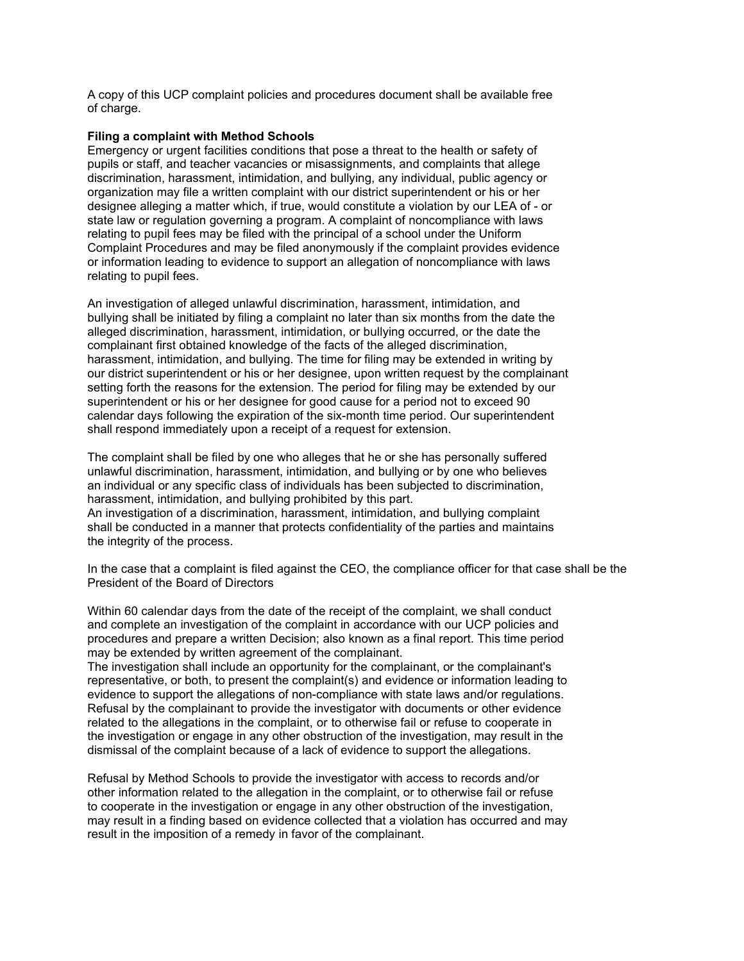A copy of this UCP complaint policies and procedures document shall be available free of charge.

### **Filing a complaint with Method Schools**

the integrity of the process.

Emergency or urgent facilities conditions that pose a threat to the health or safety of pupils or staff, and teacher vacancies or misassignments, and complaints that allege discrimination, harassment, intimidation, and bullying, any individual, public agency or organization may file a written complaint with our district superintendent or his or her designee alleging a matter which, if true, would constitute a violation by our LEA of - or state law or regulation governing a program. A complaint of noncompliance with laws relating to pupil fees may be filed with the principal of a school under the Uniform Complaint Procedures and may be filed anonymously if the complaint provides evidence or information leading to evidence to support an allegation of noncompliance with laws relating to pupil fees.

An investigation of alleged unlawful discrimination, harassment, intimidation, and bullying shall be initiated by filing a complaint no later than six months from the date the alleged discrimination, harassment, intimidation, or bullying occurred, or the date the complainant first obtained knowledge of the facts of the alleged discrimination, harassment, intimidation, and bullying. The time for filing may be extended in writing by our district superintendent or his or her designee, upon written request by the complainant setting forth the reasons for the extension. The period for filing may be extended by our superintendent or his or her designee for good cause for a period not to exceed 90 calendar days following the expiration of the six-month time period. Our superintendent shall respond immediately upon a receipt of a request for extension.

The complaint shall be filed by one who alleges that he or she has personally suffered unlawful discrimination, harassment, intimidation, and bullying or by one who believes an individual or any specific class of individuals has been subjected to discrimination, harassment, intimidation, and bullying prohibited by this part. An investigation of a discrimination, harassment, intimidation, and bullying complaint shall be conducted in a manner that protects confidentiality of the parties and maintains

In the case that a complaint is filed against the CEO, the compliance officer for that case shall be the President of the Board of Directors

Within 60 calendar days from the date of the receipt of the complaint, we shall conduct and complete an investigation of the complaint in accordance with our UCP policies and procedures and prepare a written Decision; also known as a final report. This time period may be extended by written agreement of the complainant.

The investigation shall include an opportunity for the complainant, or the complainant's representative, or both, to present the complaint(s) and evidence or information leading to evidence to support the allegations of non-compliance with state laws and/or regulations. Refusal by the complainant to provide the investigator with documents or other evidence related to the allegations in the complaint, or to otherwise fail or refuse to cooperate in the investigation or engage in any other obstruction of the investigation, may result in the dismissal of the complaint because of a lack of evidence to support the allegations.

Refusal by Method Schools to provide the investigator with access to records and/or other information related to the allegation in the complaint, or to otherwise fail or refuse to cooperate in the investigation or engage in any other obstruction of the investigation, may result in a finding based on evidence collected that a violation has occurred and may result in the imposition of a remedy in favor of the complainant.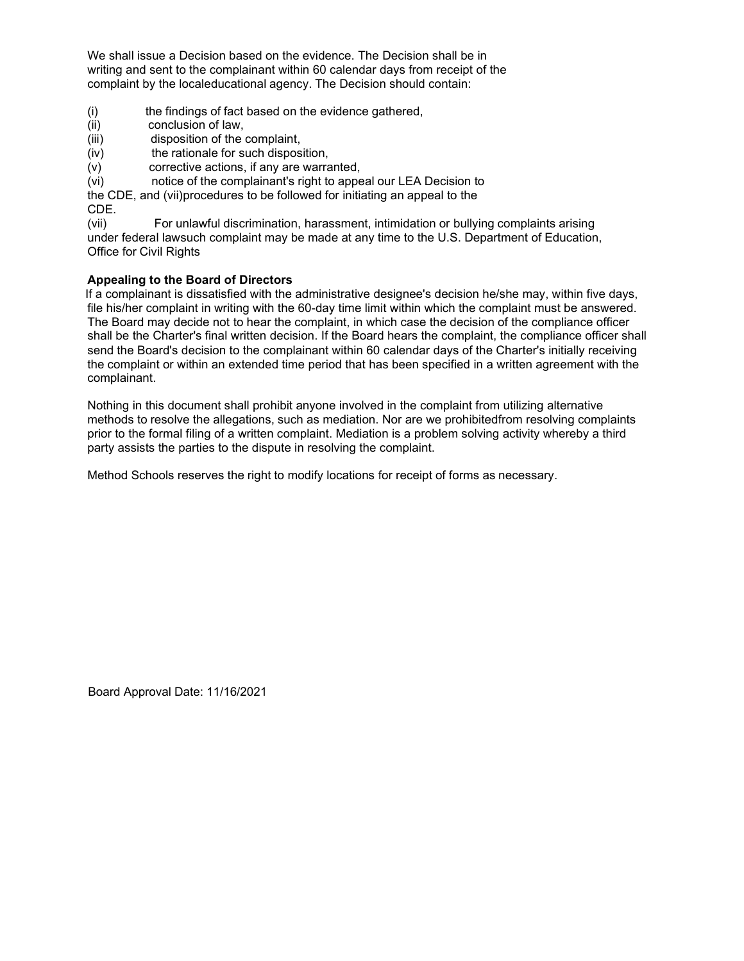We shall issue a Decision based on the evidence. The Decision shall be in writing and sent to the complainant within 60 calendar days from receipt of the complaint by the localeducational agency. The Decision should contain:

- (i) the findings of fact based on the evidence gathered,
- (ii) conclusion of law,<br>(iii) disposition of the
- disposition of the complaint,
- (iv) the rationale for such disposition,
- (v) corrective actions, if any are warranted,
- (vi) notice of the complainant's right to appeal our LEA Decision to
- the CDE, and (vii)procedures to be followed for initiating an appeal to the CDE.

(vii) For unlawful discrimination, harassment, intimidation or bullying complaints arising under federal lawsuch complaint may be made at any time to the U.S. Department of Education, Office for Civil Rights

# **Appealing to the Board of Directors**

If a complainant is dissatisfied with the administrative designee's decision he/she may, within five days, file his/her complaint in writing with the 60-day time limit within which the complaint must be answered. The Board may decide not to hear the complaint, in which case the decision of the compliance officer shall be the Charter's final written decision. If the Board hears the complaint, the compliance officer shall send the Board's decision to the complainant within 60 calendar days of the Charter's initially receiving the complaint or within an extended time period that has been specified in a written agreement with the complainant.

Nothing in this document shall prohibit anyone involved in the complaint from utilizing alternative methods to resolve the allegations, such as mediation. Nor are we prohibitedfrom resolving complaints prior to the formal filing of a written complaint. Mediation is a problem solving activity whereby a third party assists the parties to the dispute in resolving the complaint.

Method Schools reserves the right to modify locations for receipt of forms as necessary.

Board Approval Date: 11/16/2021